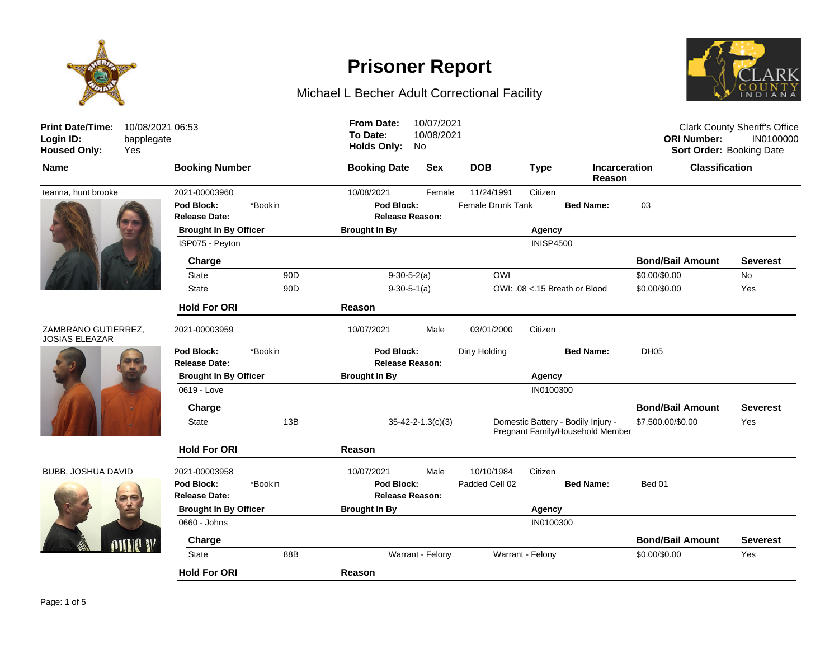

## Michael L Becher Adult Correctional Facility



| <b>Print Date/Time:</b><br>Login ID:<br><b>Housed Only:</b> | 10/08/2021 06:53<br>bapplegate<br>Yes |                                    |                 | <b>From Date:</b><br>To Date:<br><b>Holds Only:</b> | 10/07/2021<br>10/08/2021<br>No |                          |                  |                                                                        | <b>ORI Number:</b>      | <b>Clark County Sheriff's Office</b><br>IN0100000<br>Sort Order: Booking Date |
|-------------------------------------------------------------|---------------------------------------|------------------------------------|-----------------|-----------------------------------------------------|--------------------------------|--------------------------|------------------|------------------------------------------------------------------------|-------------------------|-------------------------------------------------------------------------------|
| <b>Name</b>                                                 |                                       | <b>Booking Number</b>              |                 | <b>Booking Date</b>                                 | <b>Sex</b>                     | <b>DOB</b>               | <b>Type</b>      | <b>Incarceration</b><br>Reason                                         | <b>Classification</b>   |                                                                               |
| teanna, hunt brooke                                         |                                       | 2021-00003960                      |                 | 10/08/2021                                          | Female                         | 11/24/1991               | Citizen          |                                                                        |                         |                                                                               |
|                                                             |                                       | Pod Block:<br><b>Release Date:</b> | *Bookin         | Pod Block:<br><b>Release Reason:</b>                |                                | <b>Female Drunk Tank</b> |                  | <b>Bed Name:</b>                                                       | 03                      |                                                                               |
|                                                             |                                       | <b>Brought In By Officer</b>       |                 | <b>Brought In By</b>                                |                                | Agency                   |                  |                                                                        |                         |                                                                               |
|                                                             |                                       | ISP075 - Peyton                    |                 |                                                     |                                |                          | <b>INISP4500</b> |                                                                        |                         |                                                                               |
|                                                             |                                       | Charge                             |                 |                                                     |                                |                          |                  |                                                                        | <b>Bond/Bail Amount</b> | <b>Severest</b>                                                               |
|                                                             |                                       | <b>State</b>                       | 90 <sub>D</sub> | $9-30-5-2(a)$                                       |                                | <b>OWI</b>               |                  |                                                                        | \$0.00/\$0.00           | <b>No</b>                                                                     |
|                                                             |                                       | <b>State</b>                       | 90 <sub>D</sub> | $9-30-5-1(a)$                                       |                                |                          |                  | OWI: .08 <.15 Breath or Blood                                          | \$0.00/\$0.00           | Yes                                                                           |
|                                                             |                                       | <b>Hold For ORI</b>                |                 | Reason                                              |                                |                          |                  |                                                                        |                         |                                                                               |
| ZAMBRANO GUTIERREZ,<br><b>JOSIAS ELEAZAR</b>                |                                       | 2021-00003959                      |                 | 10/07/2021                                          | Male                           | 03/01/2000               | Citizen          |                                                                        |                         |                                                                               |
|                                                             |                                       | Pod Block:<br><b>Release Date:</b> | *Bookin         | Pod Block:<br><b>Release Reason:</b>                |                                | Dirty Holding            |                  | <b>Bed Name:</b>                                                       | DH <sub>05</sub>        |                                                                               |
|                                                             |                                       | <b>Brought In By Officer</b>       |                 | <b>Brought In By</b>                                |                                |                          | Agency           |                                                                        |                         |                                                                               |
|                                                             |                                       | 0619 - Love                        |                 |                                                     |                                |                          | IN0100300        |                                                                        |                         |                                                                               |
|                                                             |                                       | Charge                             |                 |                                                     |                                |                          |                  |                                                                        | <b>Bond/Bail Amount</b> | <b>Severest</b>                                                               |
|                                                             |                                       | <b>State</b>                       | 13B             |                                                     | $35 - 42 - 2 - 1.3(c)(3)$      |                          |                  | Domestic Battery - Bodily Injury -<br>Pregnant Family/Household Member | \$7,500.00/\$0.00       | Yes                                                                           |
|                                                             |                                       | <b>Hold For ORI</b>                |                 | Reason                                              |                                |                          |                  |                                                                        |                         |                                                                               |
| BUBB, JOSHUA DAVID                                          |                                       | 2021-00003958                      |                 | 10/07/2021                                          | Male                           | 10/10/1984               | Citizen          |                                                                        |                         |                                                                               |
|                                                             |                                       | Pod Block:<br><b>Release Date:</b> | *Bookin         | Pod Block:<br><b>Release Reason:</b>                |                                | Padded Cell 02           |                  | <b>Bed Name:</b>                                                       | Bed 01                  |                                                                               |
|                                                             |                                       | <b>Brought In By Officer</b>       |                 | <b>Brought In By</b>                                |                                | Agency                   |                  |                                                                        |                         |                                                                               |
|                                                             |                                       | 0660 - Johns                       |                 |                                                     |                                |                          | IN0100300        |                                                                        |                         |                                                                               |
|                                                             |                                       | Charge                             |                 |                                                     |                                |                          |                  |                                                                        | <b>Bond/Bail Amount</b> | <b>Severest</b>                                                               |
|                                                             |                                       | State                              | 88B             |                                                     | Warrant - Felony               |                          | Warrant - Felony |                                                                        | \$0.00/\$0.00           | Yes                                                                           |
|                                                             |                                       | <b>Hold For ORI</b>                |                 | Reason                                              |                                |                          |                  |                                                                        |                         |                                                                               |
|                                                             |                                       |                                    |                 |                                                     |                                |                          |                  |                                                                        |                         |                                                                               |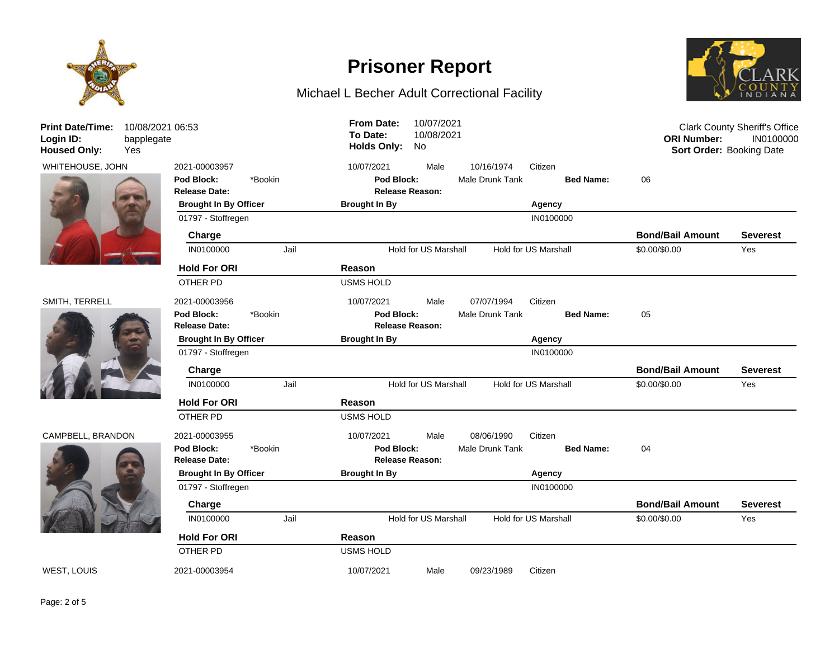

## Michael L Becher Adult Correctional Facility



| <b>Print Date/Time:</b><br>Login ID:<br><b>Housed Only:</b> | 10/08/2021 06:53<br>bapplegate<br>Yes |                                    |         | <b>From Date:</b><br>To Date:<br><b>Holds Only:</b> | 10/07/2021<br>10/08/2021<br>No. |                 |                             | <b>ORI Number:</b><br><b>Sort Order: Booking Date</b> | <b>Clark County Sheriff's Office</b><br>IN0100000 |
|-------------------------------------------------------------|---------------------------------------|------------------------------------|---------|-----------------------------------------------------|---------------------------------|-----------------|-----------------------------|-------------------------------------------------------|---------------------------------------------------|
| WHITEHOUSE, JOHN                                            |                                       | 2021-00003957                      |         | 10/07/2021                                          | Male                            | 10/16/1974      | Citizen                     |                                                       |                                                   |
|                                                             |                                       | Pod Block:<br><b>Release Date:</b> | *Bookin | Pod Block:                                          | <b>Release Reason:</b>          | Male Drunk Tank | <b>Bed Name:</b>            | 06                                                    |                                                   |
|                                                             |                                       | <b>Brought In By Officer</b>       |         | <b>Brought In By</b>                                |                                 |                 |                             |                                                       |                                                   |
|                                                             |                                       | 01797 - Stoffregen                 |         |                                                     |                                 |                 | IN0100000                   |                                                       |                                                   |
|                                                             |                                       | Charge                             |         |                                                     |                                 |                 |                             | <b>Bond/Bail Amount</b>                               | <b>Severest</b>                                   |
|                                                             |                                       | IN0100000                          | Jail    |                                                     | Hold for US Marshall            |                 | Hold for US Marshall        | \$0.00/\$0.00                                         | Yes                                               |
|                                                             |                                       | <b>Hold For ORI</b>                |         | Reason                                              |                                 |                 |                             |                                                       |                                                   |
|                                                             |                                       | OTHER PD                           |         | <b>USMS HOLD</b>                                    |                                 |                 |                             |                                                       |                                                   |
| SMITH, TERRELL                                              |                                       | 2021-00003956                      |         | 10/07/2021                                          | Male                            | 07/07/1994      | Citizen                     |                                                       |                                                   |
|                                                             |                                       | Pod Block:                         | *Bookin | Pod Block:                                          |                                 | Male Drunk Tank | <b>Bed Name:</b>            | 05                                                    |                                                   |
|                                                             |                                       | <b>Release Date:</b>               |         |                                                     | <b>Release Reason:</b>          |                 |                             |                                                       |                                                   |
|                                                             |                                       | <b>Brought In By Officer</b>       |         | <b>Brought In By</b>                                |                                 |                 | Agency                      |                                                       |                                                   |
|                                                             |                                       | 01797 - Stoffregen                 |         |                                                     |                                 |                 | IN0100000                   |                                                       |                                                   |
|                                                             |                                       | Charge                             |         |                                                     |                                 |                 |                             | <b>Bond/Bail Amount</b>                               | <b>Severest</b>                                   |
|                                                             |                                       | IN0100000                          | Jail    |                                                     | <b>Hold for US Marshall</b>     |                 | <b>Hold for US Marshall</b> | \$0.00/\$0.00                                         | Yes                                               |
|                                                             |                                       | <b>Hold For ORI</b>                |         | Reason                                              |                                 |                 |                             |                                                       |                                                   |
|                                                             |                                       | <b>OTHER PD</b>                    |         | <b>USMS HOLD</b>                                    |                                 |                 |                             |                                                       |                                                   |
| CAMPBELL, BRANDON                                           |                                       | 2021-00003955                      |         | 10/07/2021                                          | Male                            | 08/06/1990      | Citizen                     |                                                       |                                                   |
|                                                             |                                       | Pod Block:                         | *Bookin | Pod Block:                                          |                                 | Male Drunk Tank | <b>Bed Name:</b>            | 04                                                    |                                                   |
|                                                             |                                       | <b>Release Date:</b>               |         |                                                     | <b>Release Reason:</b>          |                 |                             |                                                       |                                                   |
|                                                             |                                       | <b>Brought In By Officer</b>       |         | <b>Brought In By</b>                                |                                 |                 | Agency                      |                                                       |                                                   |
|                                                             |                                       | 01797 - Stoffregen                 |         |                                                     |                                 |                 | IN0100000                   |                                                       |                                                   |
|                                                             |                                       | Charge                             |         |                                                     |                                 |                 |                             | <b>Bond/Bail Amount</b>                               | Severest                                          |
|                                                             |                                       | IN0100000                          | Jail    |                                                     | Hold for US Marshall            |                 | Hold for US Marshall        | \$0.00/\$0.00                                         | Yes                                               |
|                                                             |                                       | <b>Hold For ORI</b>                |         | Reason                                              |                                 |                 |                             |                                                       |                                                   |
|                                                             |                                       | OTHER PD                           |         | <b>USMS HOLD</b>                                    |                                 |                 |                             |                                                       |                                                   |
| WEST, LOUIS                                                 |                                       | 2021-00003954                      |         | 10/07/2021                                          | Male                            | 09/23/1989      | Citizen                     |                                                       |                                                   |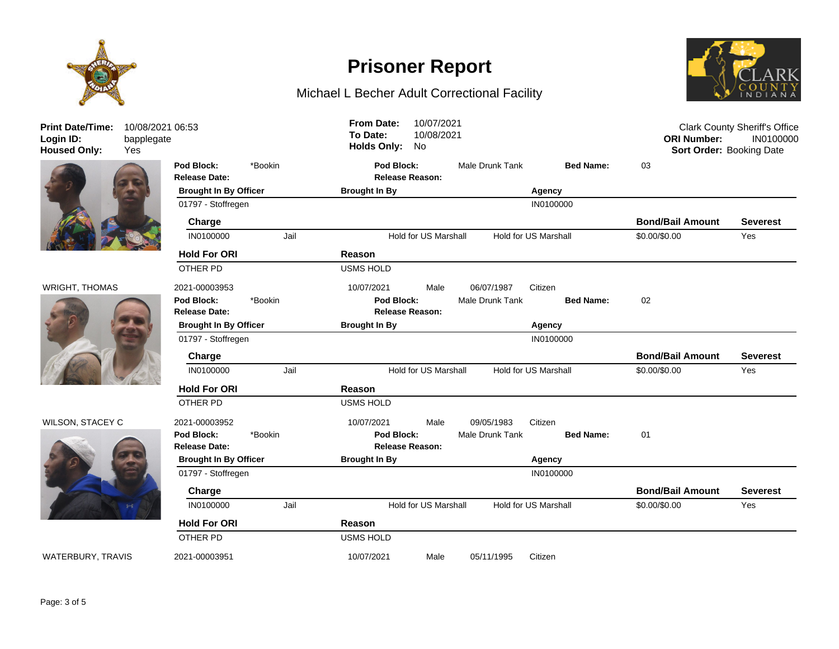

**Print Date/Time: Login ID:** 10/08/2021 06:53 bapplegate







**Release Date: Release Reason: Pod Block:** \*Bookin **Pod Block:** Male Drunk Tank **Bed Name:** 03 **Brought In By Officer Brought In By Agency** 01797 - Stoffregen **INO100000 Charge Bond/Bail Amount Severest** IN0100000 Jail Hold for US Marshall Hold for US Marshall \$0.00/\$0.00 Yes **Hold For ORI Reason** OTHER PD USMS HOLD WRIGHT, THOMAS 2021-00003953 10/07/2021 Male 06/07/1987 Citizen **Release Date: Release Reason: Pod Block:** \*Bookin **Pod Block:** Male Drunk Tank **Bed Name:** 02 **Brought In By Officer Brought In By Agency** 01797 - Stoffregen IN0100000 **Charge Bond/Bail Amount Severest** IN0100000 Jail Hold for US Marshall Hold for US Marshall \$0.00/\$0.00 Yes **Hold For ORI Reason** OTHER PD USMS HOLD WILSON, STACEY C 2021-00003952 10/07/2021 Male 09/05/1983 Citizen **Release Date: Release Reason: Pod Block:** \*Bookin **Pod Block:** Male Drunk Tank **Bed Name:** 01 **Brought In By Officer Brought In By Agency** 01797 - Stoffregen **IN0100000 Charge Bond/Bail Amount Severest** IN0100000 Jail Hold for US Marshall Hold for US Marshall \$0.00/\$0.00 Yes **Hold For ORI Reason** OTHER PD USMS HOLD WATERBURY, TRAVIS 2021-00003951 10/07/2021 Male 05/11/1995 Citizen Clark County Sheriff's Office **ORI Number:** IN0100000 **Housed Only:** Yes **Holds Only:** No **Sort Order:** Booking Date **To Date:** 10/08/2021 **From Date:** 10/07/2021

**Prisoner Report**

Michael L Becher Adult Correctional Facility

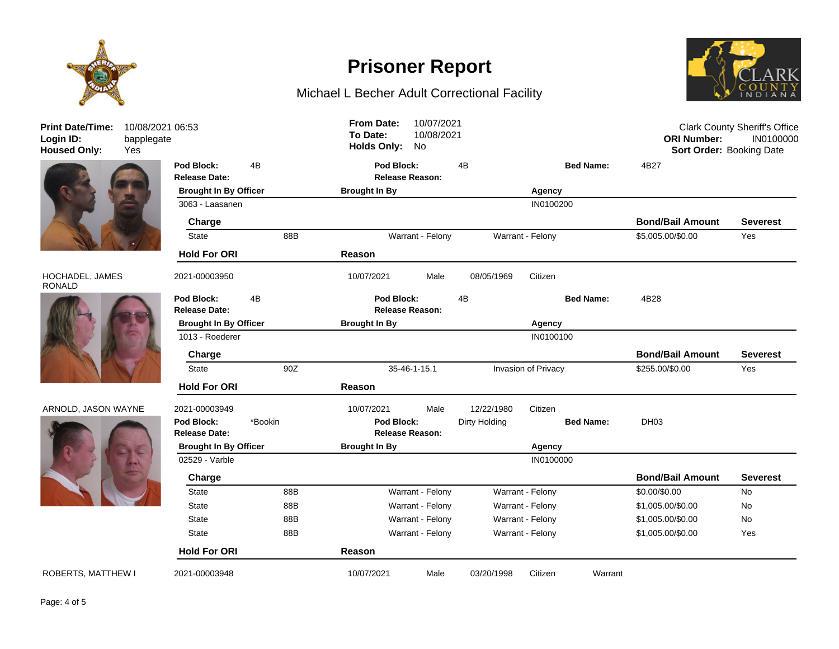

Michael L Becher Adult Correctional Facility





### HOCHADEL, JAMES RONALD



### ARNOLD, JASON WAYNE 2021



| <b>Print Date/Time:</b><br>Login ID:<br><b>Housed Only:</b> | 10/08/2021 06:53<br>bapplegate<br>Yes |                                                 |         |     | <b>From Date:</b><br>To Date:<br><b>Holds Only:</b> | 10/07/2021<br>10/08/2021<br>No |               |                  |                   | <b>ORI Number:</b><br>Sort Order: Booking Date | <b>Clark County Sheriff's Office</b><br>IN0100000 |
|-------------------------------------------------------------|---------------------------------------|-------------------------------------------------|---------|-----|-----------------------------------------------------|--------------------------------|---------------|------------------|-------------------|------------------------------------------------|---------------------------------------------------|
|                                                             |                                       | Pod Block:<br><b>Release Date:</b>              | 4B      |     | Pod Block:                                          | <b>Release Reason:</b>         | 4B            |                  | <b>Bed Name:</b>  | 4B27                                           |                                                   |
|                                                             |                                       | <b>Brought In By Officer</b>                    |         |     | <b>Brought In By</b>                                |                                |               | Agency           |                   |                                                |                                                   |
|                                                             |                                       | 3063 - Laasanen                                 |         |     |                                                     |                                |               | IN0100200        |                   |                                                |                                                   |
|                                                             |                                       | Charge                                          |         |     |                                                     |                                |               |                  |                   | <b>Bond/Bail Amount</b>                        | <b>Severest</b>                                   |
|                                                             |                                       | State                                           |         | 88B |                                                     | Warrant - Felony               |               | Warrant - Felony |                   | \$5,005.00/\$0.00                              | Yes                                               |
|                                                             |                                       | <b>Hold For ORI</b>                             |         |     | Reason                                              |                                |               |                  |                   |                                                |                                                   |
| HOCHADEL, JAMES<br><b>RONALD</b>                            |                                       | 2021-00003950                                   |         |     | 10/07/2021                                          | Male                           | 08/05/1969    | Citizen          |                   |                                                |                                                   |
|                                                             |                                       | Pod Block:                                      | 4B      |     | Pod Block:                                          |                                | 4B            |                  | <b>Bed Name:</b>  | 4B28                                           |                                                   |
|                                                             | <b>Release Date:</b>                  |                                                 |         |     | <b>Release Reason:</b>                              |                                |               |                  |                   |                                                |                                                   |
|                                                             |                                       | <b>Brought In By Officer</b><br>1013 - Roederer |         |     | <b>Brought In By</b><br>Agency<br>IN0100100         |                                |               |                  |                   |                                                |                                                   |
|                                                             |                                       |                                                 |         |     |                                                     |                                |               |                  |                   |                                                |                                                   |
|                                                             |                                       | Charge                                          |         |     |                                                     |                                |               |                  |                   | <b>Bond/Bail Amount</b>                        | <b>Severest</b>                                   |
|                                                             |                                       | 90Z<br><b>State</b>                             |         |     | 35-46-1-15.1<br>Invasion of Privacy                 |                                |               |                  |                   | \$255.00/\$0.00                                | Yes                                               |
|                                                             |                                       | <b>Hold For ORI</b>                             |         |     | Reason                                              |                                |               |                  |                   |                                                |                                                   |
| ARNOLD, JASON WAYNE                                         |                                       | 2021-00003949                                   |         |     | 10/07/2021                                          | Male                           | 12/22/1980    | Citizen          |                   |                                                |                                                   |
|                                                             |                                       | Pod Block:                                      | *Bookin |     | Pod Block:                                          |                                | Dirty Holding |                  | <b>Bed Name:</b>  | DH <sub>03</sub>                               |                                                   |
|                                                             |                                       | <b>Release Date:</b>                            |         |     |                                                     | <b>Release Reason:</b>         |               |                  |                   |                                                |                                                   |
|                                                             |                                       | <b>Brought In By Officer</b>                    |         |     | <b>Brought In By</b><br>Agency                      |                                |               |                  |                   |                                                |                                                   |
|                                                             |                                       | 02529 - Varble                                  |         |     |                                                     |                                |               | IN0100000        |                   |                                                |                                                   |
|                                                             |                                       | Charge                                          |         |     |                                                     |                                |               |                  |                   | <b>Bond/Bail Amount</b>                        | <b>Severest</b>                                   |
|                                                             |                                       | <b>State</b>                                    |         | 88B |                                                     | Warrant - Felony               |               | Warrant - Felony |                   | \$0.00/\$0.00                                  | No                                                |
|                                                             |                                       | <b>State</b>                                    |         | 88B |                                                     | Warrant - Felony               |               | Warrant - Felony |                   | \$1,005.00/\$0.00                              | No                                                |
|                                                             |                                       | State<br>88B                                    |         |     | Warrant - Felony<br>Warrant - Felony                |                                |               |                  | \$1,005.00/\$0.00 | No                                             |                                                   |
|                                                             |                                       | <b>State</b><br>88B                             |         |     | Warrant - Felony<br>Warrant - Felony                |                                |               |                  |                   | \$1,005.00/\$0.00                              | Yes                                               |
|                                                             |                                       | <b>Hold For ORI</b>                             |         |     | Reason                                              |                                |               |                  |                   |                                                |                                                   |
| <b>ROBERTS, MATTHEW I</b>                                   |                                       | 2021-00003948                                   |         |     | 10/07/2021                                          | Male                           | 03/20/1998    | Citizen          | Warrant           |                                                |                                                   |